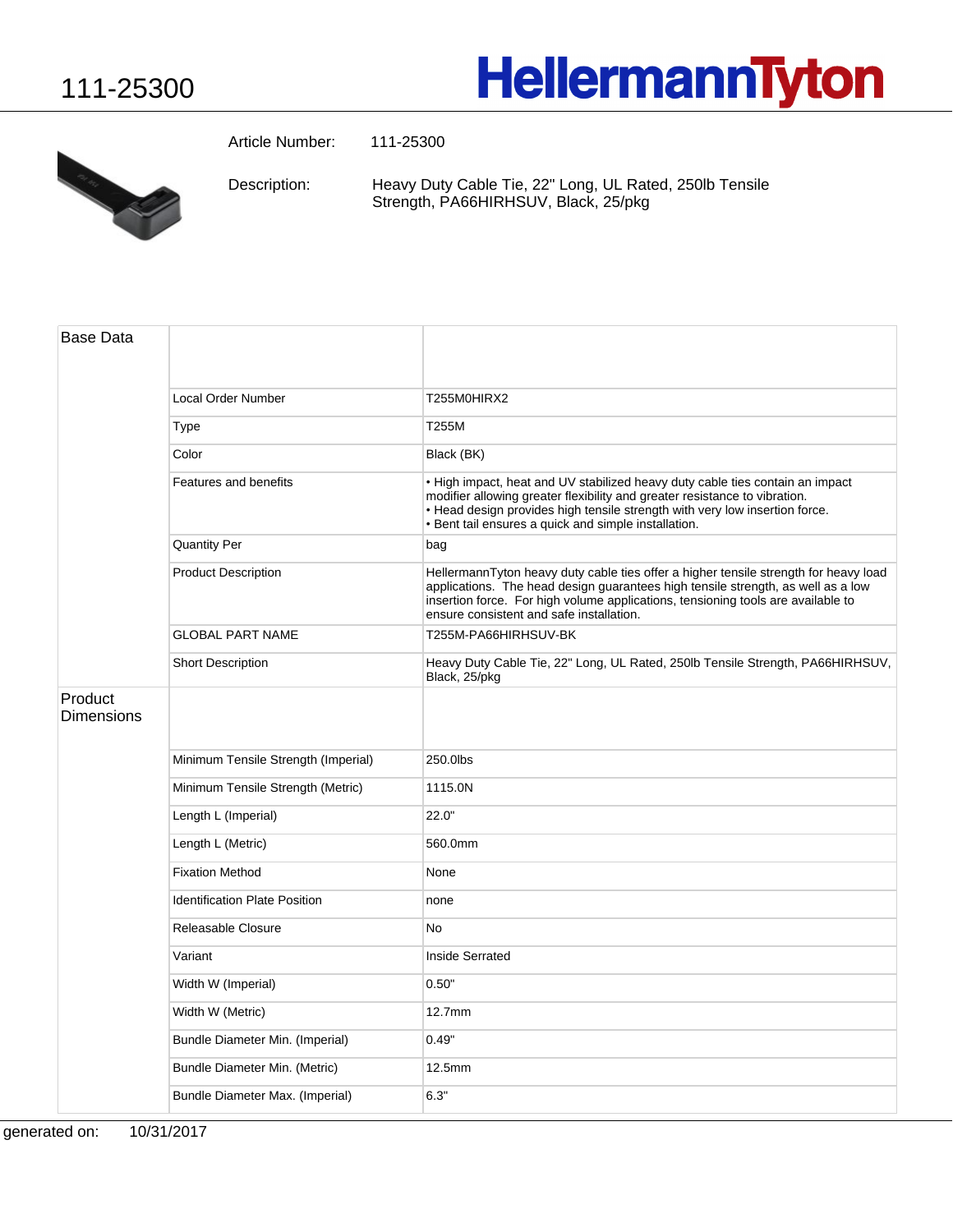## 111-25300

## **HellermannTyton**



Article Number: 111-25300

Heavy Duty Cable Tie, 22" Long, UL Rated, 250lb Tensile Strength, PA66HIRHSUV, Black, 25/pkg Description:

| <b>Base Data</b>             |                                      |                                                                                                                                                                                                                                                                                                          |
|------------------------------|--------------------------------------|----------------------------------------------------------------------------------------------------------------------------------------------------------------------------------------------------------------------------------------------------------------------------------------------------------|
|                              | <b>Local Order Number</b>            | T255M0HIRX2                                                                                                                                                                                                                                                                                              |
|                              | Type                                 | T255M                                                                                                                                                                                                                                                                                                    |
|                              | Color                                | Black (BK)                                                                                                                                                                                                                                                                                               |
|                              | Features and benefits                | . High impact, heat and UV stabilized heavy duty cable ties contain an impact<br>modifier allowing greater flexibility and greater resistance to vibration.<br>. Head design provides high tensile strength with very low insertion force.<br>· Bent tail ensures a quick and simple installation.       |
|                              | <b>Quantity Per</b>                  | bag                                                                                                                                                                                                                                                                                                      |
|                              | <b>Product Description</b>           | HellermannTyton heavy duty cable ties offer a higher tensile strength for heavy load<br>applications. The head design guarantees high tensile strength, as well as a low<br>insertion force. For high volume applications, tensioning tools are available to<br>ensure consistent and safe installation. |
|                              | <b>GLOBAL PART NAME</b>              | T255M-PA66HIRHSUV-BK                                                                                                                                                                                                                                                                                     |
|                              | <b>Short Description</b>             | Heavy Duty Cable Tie, 22" Long, UL Rated, 250lb Tensile Strength, PA66HIRHSUV,<br>Black, 25/pkg                                                                                                                                                                                                          |
| Product<br><b>Dimensions</b> |                                      |                                                                                                                                                                                                                                                                                                          |
|                              | Minimum Tensile Strength (Imperial)  | 250.0lbs                                                                                                                                                                                                                                                                                                 |
|                              | Minimum Tensile Strength (Metric)    | 1115.0N                                                                                                                                                                                                                                                                                                  |
|                              | Length L (Imperial)                  | 22.0"                                                                                                                                                                                                                                                                                                    |
|                              | Length L (Metric)                    | 560.0mm                                                                                                                                                                                                                                                                                                  |
|                              | <b>Fixation Method</b>               | None                                                                                                                                                                                                                                                                                                     |
|                              | <b>Identification Plate Position</b> | none                                                                                                                                                                                                                                                                                                     |
|                              | Releasable Closure                   | No                                                                                                                                                                                                                                                                                                       |
|                              | Variant                              | Inside Serrated                                                                                                                                                                                                                                                                                          |
|                              | Width W (Imperial)                   | 0.50"                                                                                                                                                                                                                                                                                                    |
|                              | Width W (Metric)                     | $12.7$ mm                                                                                                                                                                                                                                                                                                |
|                              | Bundle Diameter Min. (Imperial)      | 0.49"                                                                                                                                                                                                                                                                                                    |
|                              | Bundle Diameter Min. (Metric)        | 12.5mm                                                                                                                                                                                                                                                                                                   |
|                              | Bundle Diameter Max. (Imperial)      | 6.3"                                                                                                                                                                                                                                                                                                     |